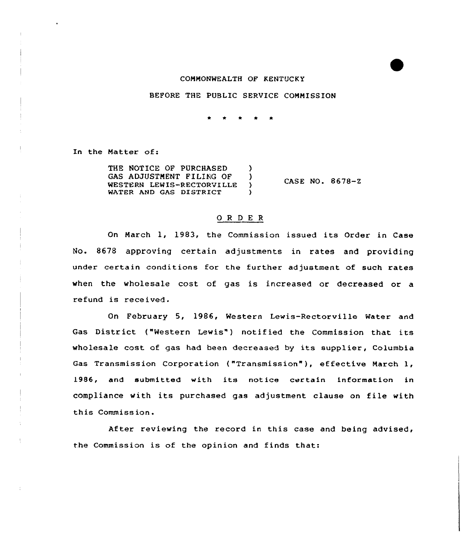#### COMMONWEALTH OF KENTUCKY

# BEFORE THE PUBLIC SERVICE COMMISSION

In the Matter of:

THE NOTICE OF PURCHASED ) GAS ADJUSTMENT FILING OF ) WESTERN LEWIS-RECTORVILLE )<br>WATER AND GAS DISTRICT ) WATER AND GAS DISTRICT CASE NO. 8678-Z

## 0 <sup>R</sup> <sup>D</sup> E <sup>R</sup>

On March 1, 1983, the Commission issued its Order in Case No. 8678 approving certain adjustments in rates and providing under certain conditions for the further adjustment of such rates when the wholesale cost of gas is increased or decreased or a refund is received.

On February 5, 1986, Western Lewis-Rectorville Water and Gas District ("Western Lewis") notified the Commission that its wholesale cost of gas had been decreased by its supplier, Columbia Gas Transmission Corporation ("Transmission" ), effective March 1, 1986, and submitted with its notice certain information in compliance with its purchased gas adjustment clause on file with this Commission.

After reviewing the record in this case and being advised, the Commission is of the opinion and finds that: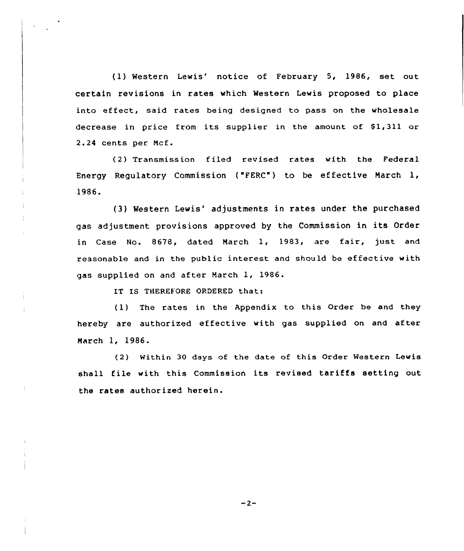(1) Western Lewis' notice of February 5, 1986, set out certain revisions in rates which Western Lewis proposed to place into effect, said rates being designed to pass on the wholesale decrease in price from its supplier in the amount of  $$1,311$  or 2.24 cents per Mcf.

(2) Transmission filed revised rates with the Federal Energy Regulatory Commission ("FERC") to be effective Narch 1, 1986.

(3) Western Lewis' adjustments in rates under the purchased gas adjustment provisions approved by the Commission in its Order in Case No. 8678, dated Narch 1, 1983, are fair, just and reasonable and in the public interest and should be effective with gas supplied on and after Narch 1, 1986.

IT IS THEREFORE ORDERED that:

(1) The rates in the Appendix to this Order be and they hereby are authorized effective with gas supplied on and after Narch 1, 1986.

(2) Within 30 days of the date of this Order Western Lewis shall file with this Commission its revised tariffs setting out the rates authorized herein.

 $-2-$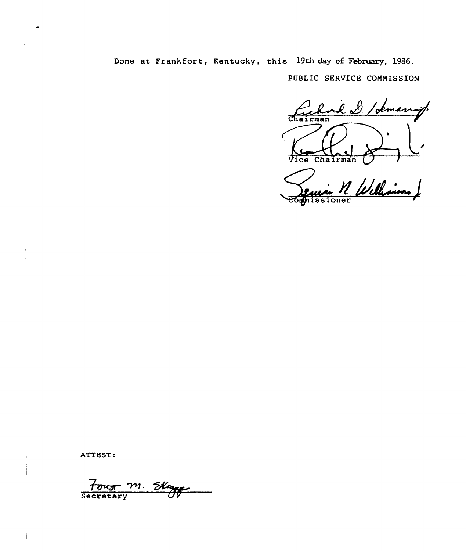Done at Frankfort, Kentucky, this 19th day of February, 1986.

PUBIIC SERVICE COMMISSION

<u>rd D</u> beman Chairman

Vice Chairman ()  $\overline{over}$ 

ATTEST:

Four m. Stage